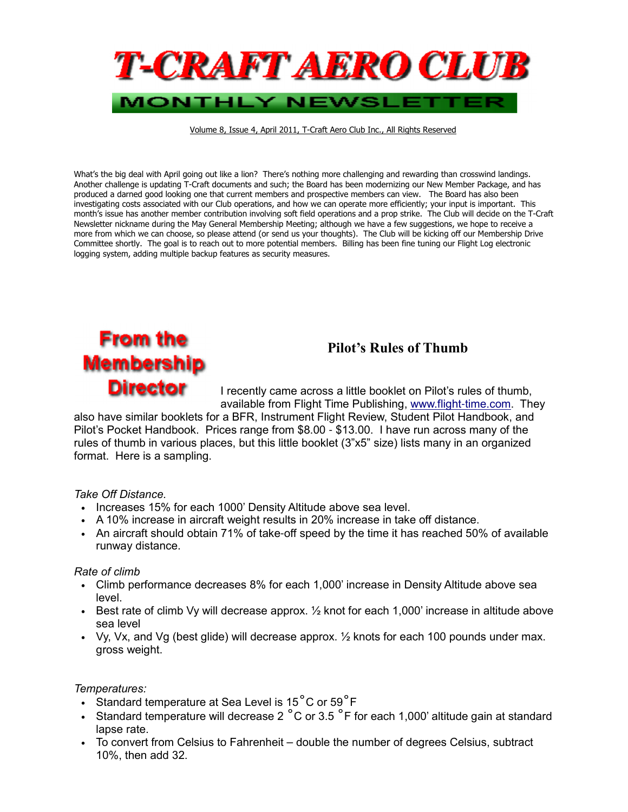

Volume 8, Issue 4, April 2011, T-Craft Aero Club Inc., All Rights Reserved

What's the big deal with April going out like a lion? There's nothing more challenging and rewarding than crosswind landings. Another challenge is updating T-Craft documents and such; the Board has been modernizing our New Member Package, and has produced a darned good looking one that current members and prospective members can view. The Board has also been investigating costs associated with our Club operations, and how we can operate more efficiently; your input is important. This month's issue has another member contribution involving soft field operations and a prop strike. The Club will decide on the T-Craft Newsletter nickname during the May General Membership Meeting; although we have a few suggestions, we hope to receive a more from which we can choose, so please attend (or send us your thoughts). The Club will be kicking off our Membership Drive Committee shortly. The goal is to reach out to more potential members. Billing has been fine tuning our Flight Log electronic logging system, adding multiple backup features as security measures.

### **From the** Membership **Director**

#### Pilot's Rules of Thumb

I recently came across a little booklet on Pilot's rules of thumb, available from Flight Time Publishing, www.flight-time.com. They

also have similar booklets for a BFR, Instrument Flight Review, Student Pilot Handbook, and Pilot's Pocket Handbook. Prices range from \$8.00 - \$13.00. I have run across many of the rules of thumb in various places, but this little booklet (3"x5" size) lists many in an organized format. Here is a sampling.

#### Take Off Distance.

- Increases 15% for each 1000' Density Altitude above sea level.
- A 10% increase in aircraft weight results in 20% increase in take off distance.
- An aircraft should obtain 71% of take-off speed by the time it has reached 50% of available runway distance.

#### Rate of climb

- Climb performance decreases 8% for each 1,000' increase in Density Altitude above sea level.
- Best rate of climb Vy will decrease approx.  $\frac{1}{2}$  knot for each 1,000' increase in altitude above sea level
- Vy, Vx, and Vg (best glide) will decrease approx. ½ knots for each 100 pounds under max. gross weight.

#### Temperatures:

- Standard temperature at Sea Level is 15 $^{\circ}$ C or 59 $^{\circ}$ F
- Standard temperature will decrease 2  $^{\circ}$ C or 3.5  $^{\circ}$ F for each 1,000' altitude gain at standard lapse rate.
- To convert from Celsius to Fahrenheit double the number of degrees Celsius, subtract 10%, then add 32.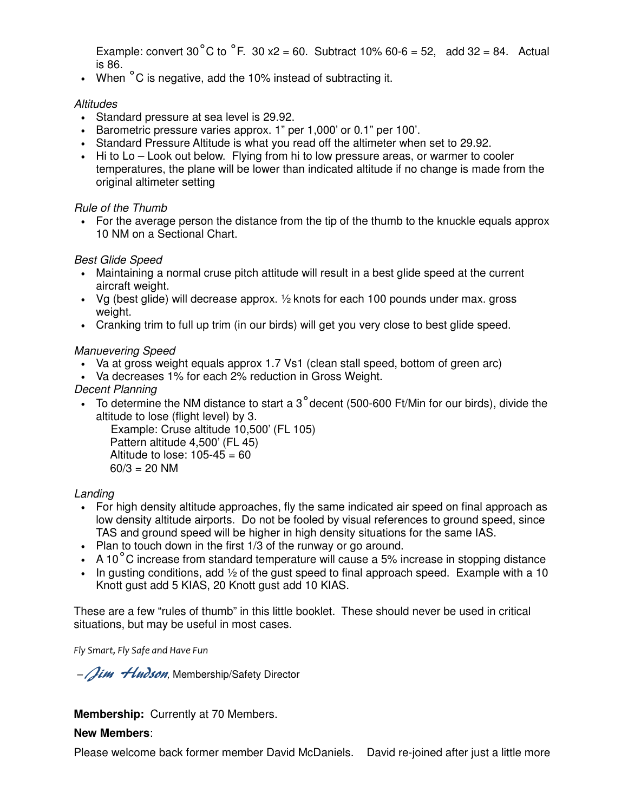Example: convert 30°C to  $^{\circ}$ F. 30 x2 = 60. Subtract 10% 60-6 = 52, add 32 = 84. Actual is 86.

• When <sup>°</sup>C is negative, add the 10% instead of subtracting it.

#### **Altitudes**

- Standard pressure at sea level is 29.92.
- Barometric pressure varies approx. 1" per 1,000' or 0.1" per 100'.
- Standard Pressure Altitude is what you read off the altimeter when set to 29.92.
- Hi to Lo Look out below. Flying from hi to low pressure areas, or warmer to cooler temperatures, the plane will be lower than indicated altitude if no change is made from the original altimeter setting

#### Rule of the Thumb

• For the average person the distance from the tip of the thumb to the knuckle equals approx 10 NM on a Sectional Chart.

#### Best Glide Speed

- Maintaining a normal cruse pitch attitude will result in a best glide speed at the current aircraft weight.
- Vg (best glide) will decrease approx.  $\frac{1}{2}$  knots for each 100 pounds under max. gross weight.
- Cranking trim to full up trim (in our birds) will get you very close to best glide speed.

#### Manuevering Speed

- Va at gross weight equals approx 1.7 Vs1 (clean stall speed, bottom of green arc)
- Va decreases 1% for each 2% reduction in Gross Weight.

#### Decent Planning

• To determine the NM distance to start a 3˚decent (500-600 Ft/Min for our birds), divide the altitude to lose (flight level) by 3.

 Example: Cruse altitude 10,500' (FL 105) Pattern altitude 4,500' (FL 45) Altitude to lose:  $105-45 = 60$  $60/3 = 20$  NM

#### Landing

- For high density altitude approaches, fly the same indicated air speed on final approach as low density altitude airports. Do not be fooled by visual references to ground speed, since TAS and ground speed will be higher in high density situations for the same IAS.
- Plan to touch down in the first 1/3 of the runway or go around.
- A 10 $\degree$ C increase from standard temperature will cause a 5% increase in stopping distance
- In gusting conditions, add  $\frac{1}{2}$  of the gust speed to final approach speed. Example with a 10 Knott gust add 5 KIAS, 20 Knott gust add 10 KIAS.

These are a few "rules of thumb" in this little booklet. These should never be used in critical situations, but may be useful in most cases.

Fly Smart, Fly Safe and Have Fun

- Jim Hudson, Membership/Safety Director

**Membership:** Currently at 70 Members.

#### **New Members**:

Please welcome back former member David McDaniels. David re-joined after just a little more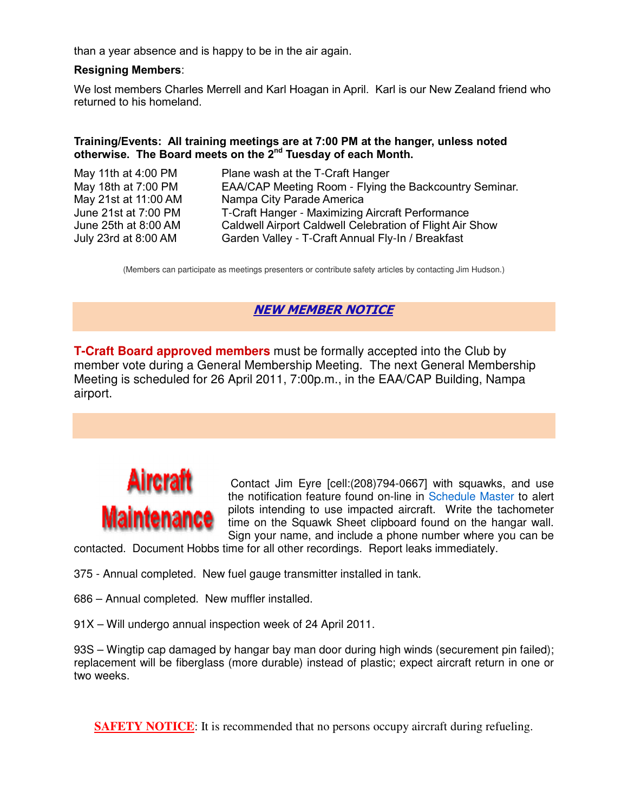than a year absence and is happy to be in the air again.

#### Resigning Members:

We lost members Charles Merrell and Karl Hoagan in April. Karl is our New Zealand friend who returned to his homeland.

#### Training/Events: All training meetings are at 7:00 PM at the hanger, unless noted otherwise. The Board meets on the 2<sup>nd</sup> Tuesday of each Month.

| May 11th at 4:00 PM  | Plane wash at the T-Craft Hanger                         |
|----------------------|----------------------------------------------------------|
| May 18th at 7:00 PM  | EAA/CAP Meeting Room - Flying the Backcountry Seminar.   |
| May 21st at 11:00 AM | Nampa City Parade America                                |
| June 21st at 7:00 PM | T-Craft Hanger - Maximizing Aircraft Performance         |
| June 25th at 8:00 AM | Caldwell Airport Caldwell Celebration of Flight Air Show |
| July 23rd at 8:00 AM | Garden Valley - T-Craft Annual Fly-In / Breakfast        |
|                      |                                                          |

(Members can participate as meetings presenters or contribute safety articles by contacting Jim Hudson.)

#### NEW MEMBER NOTICE

**T-Craft Board approved members** must be formally accepted into the Club by member vote during a General Membership Meeting. The next General Membership Meeting is scheduled for 26 April 2011, 7:00p.m., in the EAA/CAP Building, Nampa airport.

# Aircraft Maintenance

Contact Jim Eyre [cell:(208)794-0667] with squawks, and use the notification feature found on-line in Schedule Master to alert pilots intending to use impacted aircraft. Write the tachometer time on the Squawk Sheet clipboard found on the hangar wall. Sign your name, and include a phone number where you can be

contacted. Document Hobbs time for all other recordings. Report leaks immediately.

- 375 Annual completed. New fuel gauge transmitter installed in tank.
- 686 Annual completed. New muffler installed.
- 91X Will undergo annual inspection week of 24 April 2011.

93S – Wingtip cap damaged by hangar bay man door during high winds (securement pin failed); replacement will be fiberglass (more durable) instead of plastic; expect aircraft return in one or two weeks.

**SAFETY NOTICE:** It is recommended that no persons occupy aircraft during refueling.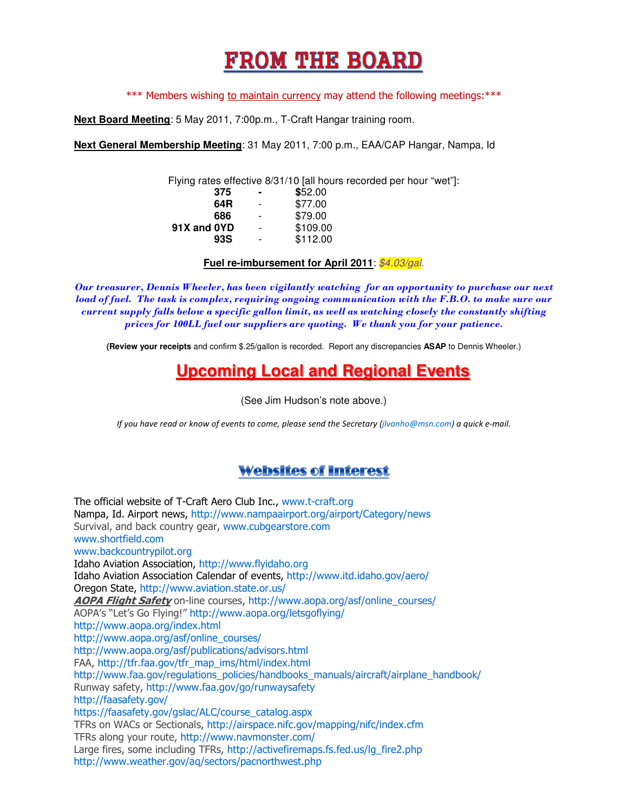## **FROM THE BOARD**

\*\*\* Members wishing to maintain currency may attend the following meetings: \*\*\*

**Next Board Meeting**: 5 May 2011, 7:00p.m., T-Craft Hangar training room.

**Next General Membership Meeting**: 31 May 2011, 7:00 p.m., EAA/CAP Hangar, Nampa, Id

Flying rates effective 8/31/10 [all hours recorded per hour "wet"]:

| 375         | $\blacksquare$           | \$52.00  |
|-------------|--------------------------|----------|
| 64R         | $\overline{\phantom{a}}$ | \$77.00  |
| 686         | $\overline{\phantom{a}}$ | \$79.00  |
| 91X and OYD | $\overline{\phantom{a}}$ | \$109.00 |
| 93S         | $\overline{\phantom{a}}$ | \$112.00 |
|             |                          |          |

#### **Fuel re-imbursement for April 2011:** \$4.03/gal.

Our treasurer, Dennis Wheeler, has been vigilantly watching for an opportunity to purchase our next load of fuel. The task is complex, requiring ongoing communication with the F.B.O. to make sure our current supply falls below a specific gallon limit, as well as watching closely the constantly shifting prices for 100LL fuel our suppliers are quoting. We thank you for your patience.

**(Review your receipts** and confirm \$.25/gallon is recorded. Report any discrepancies **ASAP** to Dennis Wheeler.)

### **Upcoming Local and Regional Events**

(See Jim Hudson's note above.)

If you have read or know of events to come, please send the Secretary (jlvanho@msn.com) a quick e-mail.

#### **Websites of Interest**

The official website of T-Craft Aero Club Inc., www.t-craft.org Nampa, Id. Airport news, http://www.nampaairport.org/airport/Category/news Survival, and back country gear, www.cubgearstore.com www.shortfield.com www.backcountrypilot.org Idaho Aviation Association, http://www.flyidaho.org Idaho Aviation Association Calendar of events, http://www.itd.idaho.gov/aero/ Oregon State, http://www.aviation.state.or.us/ AOPA Flight Safety on-line courses, http://www.aopa.org/asf/online\_courses/ AOPA's "Let's Go Flying!" http://www.aopa.org/letsgoflying/ http://www.aopa.org/index.html http://www.aopa.org/asf/online\_courses/ http://www.aopa.org/asf/publications/advisors.html FAA, http://tfr.faa.gov/tfr\_map\_ims/html/index.html http://www.faa.gov/regulations\_policies/handbooks\_manuals/aircraft/airplane\_handbook/ Runway safety, http://www.faa.gov/go/runwaysafety http://faasafety.gov/ https://faasafety.gov/gslac/ALC/course\_catalog.aspx TFRs on WACs or Sectionals, http://airspace.nifc.gov/mapping/nifc/index.cfm TFRs along your route, http://www.navmonster.com/ Large fires, some including TFRs, http://activefiremaps.fs.fed.us/lg\_fire2.php http://www.weather.gov/aq/sectors/pacnorthwest.php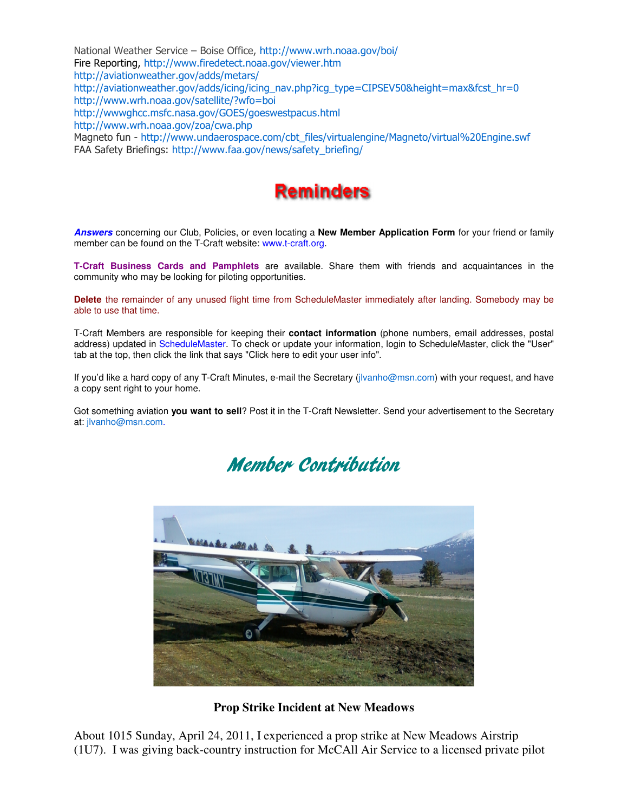National Weather Service – Boise Office, http://www.wrh.noaa.gov/boi/ Fire Reporting, http://www.firedetect.noaa.gov/viewer.htm http://aviationweather.gov/adds/metars/ http://aviationweather.gov/adds/icing/icing\_nav.php?icg\_type=CIPSEV50&height=max&fcst\_hr=0 http://www.wrh.noaa.gov/satellite/?wfo=boi http://wwwghcc.msfc.nasa.gov/GOES/goeswestpacus.html http://www.wrh.noaa.gov/zoa/cwa.php Magneto fun - http://www.undaerospace.com/cbt\_files/virtualengine/Magneto/virtual%20Engine.swf FAA Safety Briefings: http://www.faa.gov/news/safety\_briefing/



**Answers** concerning our Club, Policies, or even locating a **New Member Application Form** for your friend or family member can be found on the T-Craft website: www.t-craft.org.

**T-Craft Business Cards and Pamphlets** are available. Share them with friends and acquaintances in the community who may be looking for piloting opportunities.

**Delete** the remainder of any unused flight time from ScheduleMaster immediately after landing. Somebody may be able to use that time.

T-Craft Members are responsible for keeping their **contact information** (phone numbers, email addresses, postal address) updated in ScheduleMaster. To check or update your information, login to ScheduleMaster, click the "User" tab at the top, then click the link that says "Click here to edit your user info".

If you'd like a hard copy of any T-Craft Minutes, e-mail the Secretary (jlvanho@msn.com) with your request, and have a copy sent right to your home.

Got something aviation **you want to sell**? Post it in the T-Craft Newsletter. Send your advertisement to the Secretary at: jlvanho@msn.com.





**Prop Strike Incident at New Meadows** 

About 1015 Sunday, April 24, 2011, I experienced a prop strike at New Meadows Airstrip (1U7). I was giving back-country instruction for McCAll Air Service to a licensed private pilot